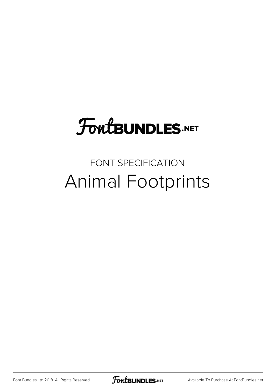# **FoutBUNDLES.NET**

## FONT SPECIFICATION Animal Footprints

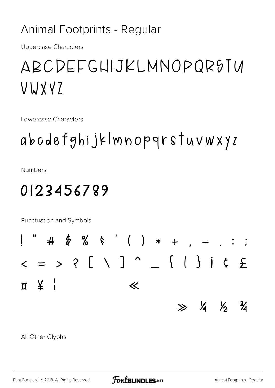#### Animal Footprints - Regular

**Uppercase Characters** 

# ABCDEFGHIJKLMNOPQR9TU VWXVZ

Lowercase Characters

# abodefghijklmnopqrstuvwxyz

**Numbers** 

### 0123456789

Punctuation and Symbols



All Other Glyphs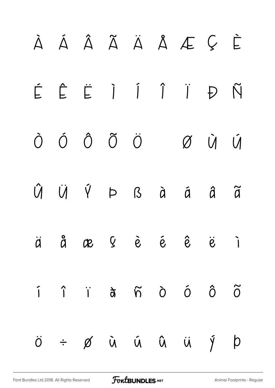# À Á Â Ã Ä Å Æ Ç È É Ê Ë Ì Í Î Ï Ð Ñ Ò Ó Ô Õ Ö Ø Ù Ú Û Ü Ý Þ ß à á â ã ä å æ ç è é ê ë ì í î ï ð ñ ò ó ô õ

ö ÷ ø ù ú û ü ý þ